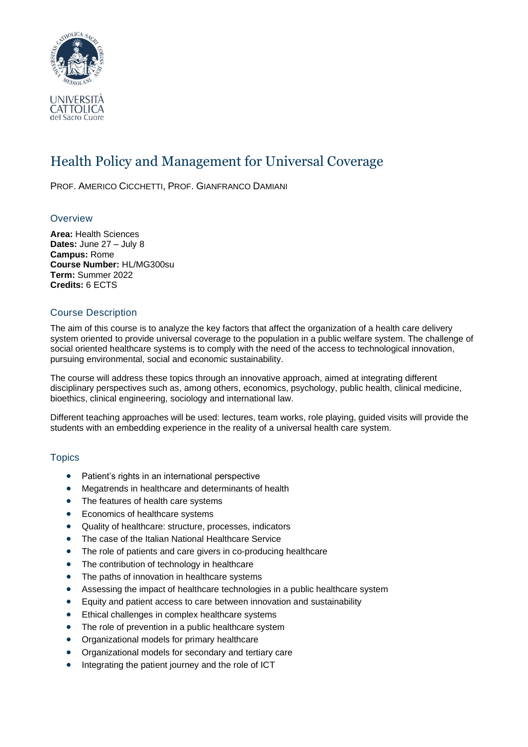

# Health Policy and Management for Universal Coverage

PROF. AMERICO CICCHETTI, PROF. GIANFRANCO DAMIANI

#### **Overview**

**Area:** Health Sciences **Dates:** June 27 – July 8 **Campus:** Rome **Course Number:** HL/MG300su **Term:** Summer 2022 **Credits:** 6 ECTS

#### Course Description

The aim of this course is to analyze the key factors that affect the organization of a health care delivery system oriented to provide universal coverage to the population in a public welfare system. The challenge of social oriented healthcare systems is to comply with the need of the access to technological innovation, pursuing environmental, social and economic sustainability.

The course will address these topics through an innovative approach, aimed at integrating different disciplinary perspectives such as, among others, economics, psychology, public health, clinical medicine, bioethics, clinical engineering, sociology and international law.

Different teaching approaches will be used: lectures, team works, role playing, guided visits will provide the students with an embedding experience in the reality of a universal health care system.

#### **Topics**

- Patient's rights in an international perspective
- Megatrends in healthcare and determinants of health
- The features of health care systems
- Economics of healthcare systems
- Quality of healthcare: structure, processes, indicators
- The case of the Italian National Healthcare Service
- The role of patients and care givers in co-producing healthcare
- The contribution of technology in healthcare
- The paths of innovation in healthcare systems
- Assessing the impact of healthcare technologies in a public healthcare system
- Equity and patient access to care between innovation and sustainability
- Ethical challenges in complex healthcare systems
- The role of prevention in a public healthcare system
- Organizational models for primary healthcare
- Organizational models for secondary and tertiary care
- Integrating the patient journey and the role of ICT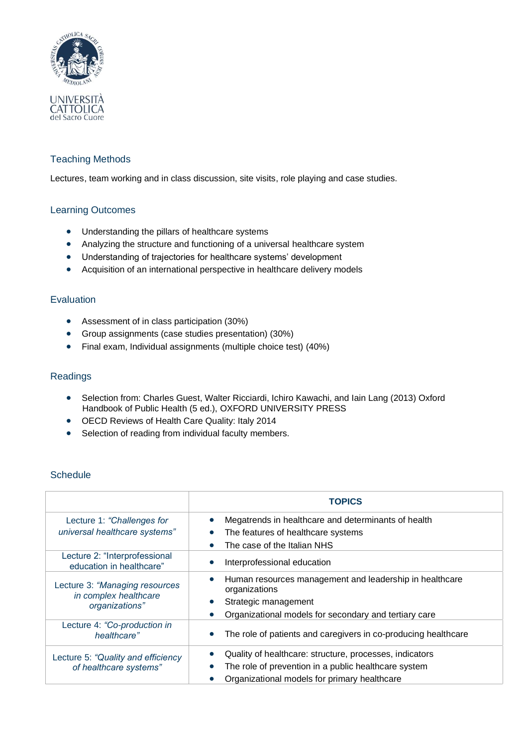

## Teaching Methods

Lectures, team working and in class discussion, site visits, role playing and case studies.

#### Learning Outcomes

- Understanding the pillars of healthcare systems
- Analyzing the structure and functioning of a universal healthcare system
- Understanding of trajectories for healthcare systems' development
- Acquisition of an international perspective in healthcare delivery models

#### Evaluation

- Assessment of in class participation (30%)
- Group assignments (case studies presentation) (30%)
- Final exam, Individual assignments (multiple choice test) (40%)

#### Readings

- Selection from: Charles Guest, Walter Ricciardi, Ichiro Kawachi, and Iain Lang (2013) Oxford Handbook of Public Health (5 ed.), OXFORD UNIVERSITY PRESS
- OECD Reviews of Health Care Quality: Italy 2014
- Selection of reading from individual faculty members.

#### **Schedule**

|                                                                           | <b>TOPICS</b>                                                                                                                                                   |
|---------------------------------------------------------------------------|-----------------------------------------------------------------------------------------------------------------------------------------------------------------|
| Lecture 1: "Challenges for<br>universal healthcare systems"               | Megatrends in healthcare and determinants of health<br>The features of healthcare systems                                                                       |
|                                                                           | The case of the Italian NHS                                                                                                                                     |
| Lecture 2: "Interprofessional<br>education in healthcare"                 | Interprofessional education                                                                                                                                     |
| Lecture 3: "Managing resources<br>in complex healthcare<br>organizations" | Human resources management and leadership in healthcare<br>organizations<br>Strategic management<br>Organizational models for secondary and tertiary care       |
| Lecture 4: "Co-production in<br>healthcare"                               | The role of patients and caregivers in co-producing healthcare                                                                                                  |
| Lecture 5: "Quality and efficiency<br>of healthcare systems"              | Quality of healthcare: structure, processes, indicators<br>The role of prevention in a public healthcare system<br>Organizational models for primary healthcare |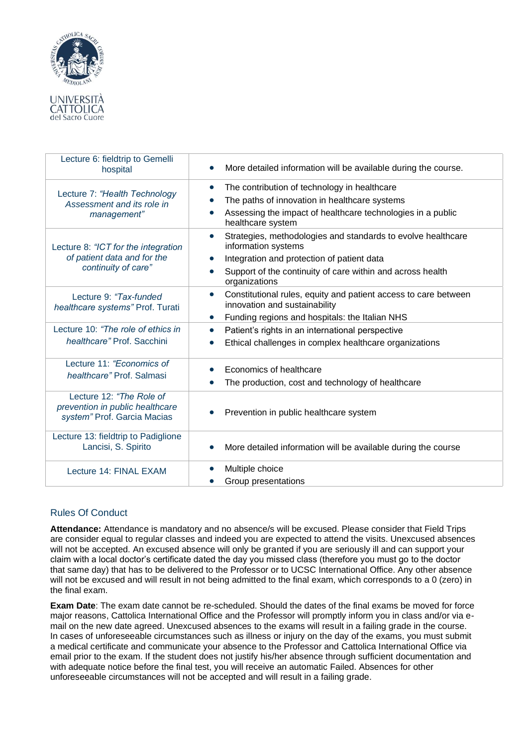

| Lecture 6: fieldtrip to Gemelli<br>hospital                                                | More detailed information will be available during the course.<br>$\bullet$                                                                                                                                                   |
|--------------------------------------------------------------------------------------------|-------------------------------------------------------------------------------------------------------------------------------------------------------------------------------------------------------------------------------|
| Lecture 7: "Health Technology<br>Assessment and its role in<br>management"                 | The contribution of technology in healthcare<br>$\bullet$<br>The paths of innovation in healthcare systems<br>$\bullet$<br>Assessing the impact of healthcare technologies in a public<br>healthcare system                   |
| Lecture 8: "ICT for the integration<br>of patient data and for the<br>continuity of care"  | Strategies, methodologies and standards to evolve healthcare<br>$\bullet$<br>information systems<br>Integration and protection of patient data<br>Support of the continuity of care within and across health<br>organizations |
| Lecture 9: "Tax-funded<br>healthcare systems" Prof. Turati                                 | Constitutional rules, equity and patient access to care between<br>$\bullet$<br>innovation and sustainability<br>Funding regions and hospitals: the Italian NHS                                                               |
| Lecture 10: "The role of ethics in<br>healthcare" Prof. Sacchini                           | Patient's rights in an international perspective<br>$\bullet$<br>Ethical challenges in complex healthcare organizations                                                                                                       |
| Lecture 11: "Economics of<br>healthcare" Prof. Salmasi                                     | Economics of healthcare<br>The production, cost and technology of healthcare<br>$\bullet$                                                                                                                                     |
| Lecture 12: "The Role of<br>prevention in public healthcare<br>system" Prof. Garcia Macias | Prevention in public healthcare system                                                                                                                                                                                        |
| Lecture 13: fieldtrip to Padiglione<br>Lancisi, S. Spirito                                 | More detailed information will be available during the course                                                                                                                                                                 |
| Lecture 14: FINAL EXAM                                                                     | Multiple choice<br>Group presentations                                                                                                                                                                                        |

## Rules Of Conduct

**Attendance:** Attendance is mandatory and no absence/s will be excused. Please consider that Field Trips are consider equal to regular classes and indeed you are expected to attend the visits. Unexcused absences will not be accepted. An excused absence will only be granted if you are seriously ill and can support your claim with a local doctor's certificate dated the day you missed class (therefore you must go to the doctor that same day) that has to be delivered to the Professor or to UCSC International Office. Any other absence will not be excused and will result in not being admitted to the final exam, which corresponds to a 0 (zero) in the final exam.

**Exam Date**: The exam date cannot be re-scheduled. Should the dates of the final exams be moved for force major reasons, Cattolica International Office and the Professor will promptly inform you in class and/or via email on the new date agreed. Unexcused absences to the exams will result in a failing grade in the course. In cases of unforeseeable circumstances such as illness or injury on the day of the exams, you must submit a medical certificate and communicate your absence to the Professor and Cattolica International Office via email prior to the exam. If the student does not justify his/her absence through sufficient documentation and with adequate notice before the final test, you will receive an automatic Failed. Absences for other unforeseeable circumstances will not be accepted and will result in a failing grade.